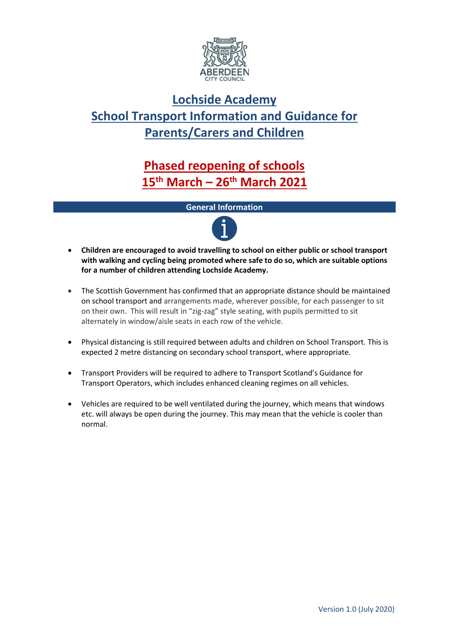

# **Lochside Academy School Transport Information and Guidance for Parents/Carers and Children**

# **Phased reopening of schools 15th March – 26th March 2021**

# **General Information**



- **Children are encouraged to avoid travelling to school on either public or school transport with walking and cycling being promoted where safe to do so, which are suitable options for a number of children attending Lochside Academy.**
- The Scottish Government has confirmed that an appropriate distance should be maintained on school transport and arrangements made, wherever possible, for each passenger to sit on their own. This will result in "zig-zag" style seating, with pupils permitted to sit alternately in window/aisle seats in each row of the vehicle.
- Physical distancing is still required between adults and children on School Transport. This is expected 2 metre distancing on secondary school transport, where appropriate.
- Transport Providers will be required to adhere to Transport Scotland's Guidance for Transport Operators, which includes enhanced cleaning regimes on all vehicles.
- Vehicles are required to be well ventilated during the journey, which means that windows etc. will always be open during the journey. This may mean that the vehicle is cooler than normal.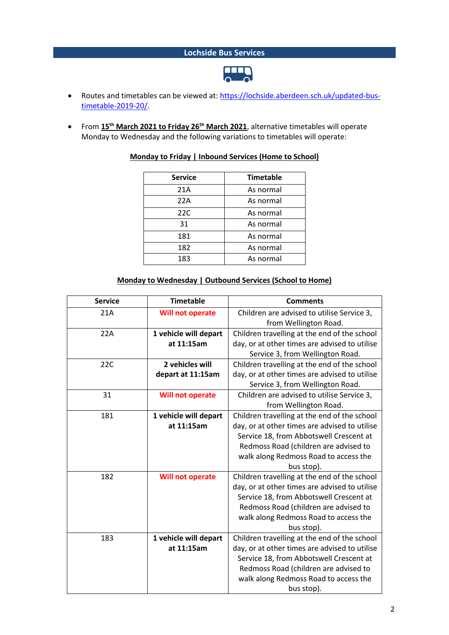# **Lochside Bus Services**



- Routes and timetables can be viewed at[: https://lochside.aberdeen.sch.uk/updated-bus](https://lochside.aberdeen.sch.uk/updated-bus-timetable-2019-20/)[timetable-2019-20/.](https://lochside.aberdeen.sch.uk/updated-bus-timetable-2019-20/)
- From **15th March 2021 to Friday 26th March 2021**, alternative timetables will operate Monday to Wednesday and the following variations to timetables will operate:

| <b>Service</b> | <b>Timetable</b> |
|----------------|------------------|
| 21A            | As normal        |
| 22A            | As normal        |
| 22C            | As normal        |
| 31             | As normal        |
| 181            | As normal        |
| 182            | As normal        |
| 183            | As normal        |

#### **Monday to Friday | Inbound Services (Home to School)**

#### **Monday to Wednesday | Outbound Services (School to Home)**

| <b>Service</b> | <b>Timetable</b>        | <b>Comments</b>                               |
|----------------|-------------------------|-----------------------------------------------|
| 21A            | <b>Will not operate</b> | Children are advised to utilise Service 3,    |
|                |                         | from Wellington Road.                         |
| 22A            | 1 vehicle will depart   | Children travelling at the end of the school  |
|                | at 11:15am              | day, or at other times are advised to utilise |
|                |                         | Service 3, from Wellington Road.              |
| 22C            | 2 vehicles will         | Children travelling at the end of the school  |
|                | depart at 11:15am       | day, or at other times are advised to utilise |
|                |                         | Service 3, from Wellington Road.              |
| 31             | <b>Will not operate</b> | Children are advised to utilise Service 3,    |
|                |                         | from Wellington Road.                         |
| 181            | 1 vehicle will depart   | Children travelling at the end of the school  |
|                | at 11:15am              | day, or at other times are advised to utilise |
|                |                         | Service 18, from Abbotswell Crescent at       |
|                |                         | Redmoss Road (children are advised to         |
|                |                         | walk along Redmoss Road to access the         |
|                |                         | bus stop).                                    |
| 182            | <b>Will not operate</b> | Children travelling at the end of the school  |
|                |                         | day, or at other times are advised to utilise |
|                |                         | Service 18, from Abbotswell Crescent at       |
|                |                         | Redmoss Road (children are advised to         |
|                |                         | walk along Redmoss Road to access the         |
|                |                         | bus stop).                                    |
| 183            | 1 vehicle will depart   | Children travelling at the end of the school  |
|                | at 11:15am              | day, or at other times are advised to utilise |
|                |                         | Service 18, from Abbotswell Crescent at       |
|                |                         | Redmoss Road (children are advised to         |
|                |                         | walk along Redmoss Road to access the         |
|                |                         | bus stop).                                    |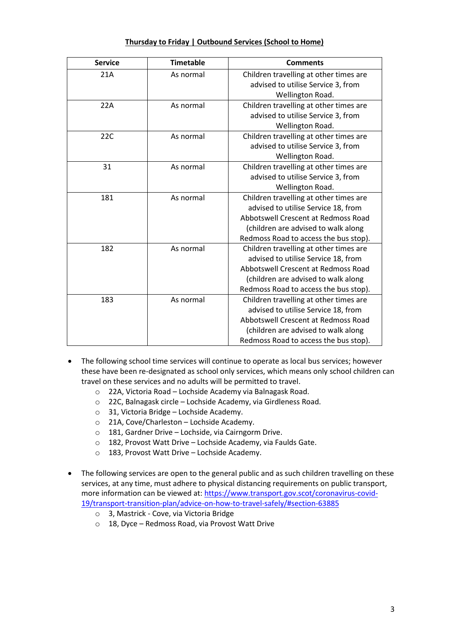# **Thursday to Friday | Outbound Services (School to Home)**

| <b>Service</b> | <b>Timetable</b> | <b>Comments</b>                                                                                                                                                                                      |
|----------------|------------------|------------------------------------------------------------------------------------------------------------------------------------------------------------------------------------------------------|
| 21A            | As normal        | Children travelling at other times are<br>advised to utilise Service 3, from<br>Wellington Road.                                                                                                     |
| 22A            | As normal        | Children travelling at other times are<br>advised to utilise Service 3, from<br>Wellington Road.                                                                                                     |
| 22C            | As normal        | Children travelling at other times are<br>advised to utilise Service 3, from<br>Wellington Road.                                                                                                     |
| 31             | As normal        | Children travelling at other times are<br>advised to utilise Service 3, from<br>Wellington Road.                                                                                                     |
| 181            | As normal        | Children travelling at other times are<br>advised to utilise Service 18, from<br>Abbotswell Crescent at Redmoss Road<br>(children are advised to walk along<br>Redmoss Road to access the bus stop). |
| 182            | As normal        | Children travelling at other times are<br>advised to utilise Service 18, from<br>Abbotswell Crescent at Redmoss Road<br>(children are advised to walk along<br>Redmoss Road to access the bus stop). |
| 183            | As normal        | Children travelling at other times are<br>advised to utilise Service 18, from<br>Abbotswell Crescent at Redmoss Road<br>(children are advised to walk along<br>Redmoss Road to access the bus stop). |

- The following school time services will continue to operate as local bus services; however these have been re-designated as school only services, which means only school children can travel on these services and no adults will be permitted to travel.
	- o 22A, Victoria Road Lochside Academy via Balnagask Road.
	- o 22C, Balnagask circle Lochside Academy, via Girdleness Road.
	- o 31, Victoria Bridge Lochside Academy.
	- o 21A, Cove/Charleston Lochside Academy.
	- o 181, Gardner Drive Lochside, via Cairngorm Drive.
	- o 182, Provost Watt Drive Lochside Academy, via Faulds Gate.
	- o 183, Provost Watt Drive Lochside Academy.
- The following services are open to the general public and as such children travelling on these services, at any time, must adhere to physical distancing requirements on public transport, more information can be viewed at: [https://www.transport.gov.scot/coronavirus-covid-](https://www.transport.gov.scot/coronavirus-covid-19/transport-transition-plan/advice-on-how-to-travel-safely/#section-63885)[19/transport-transition-plan/advice-on-how-to-travel-safely/#section-63885](https://www.transport.gov.scot/coronavirus-covid-19/transport-transition-plan/advice-on-how-to-travel-safely/#section-63885)
	- o 3, Mastrick Cove, via Victoria Bridge
	- o 18, Dyce Redmoss Road, via Provost Watt Drive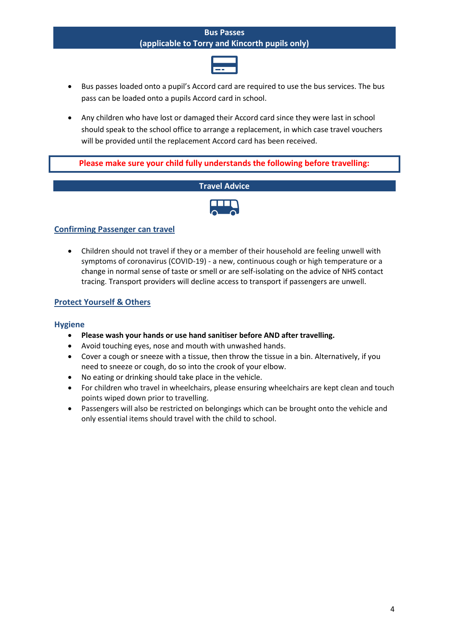#### **Bus Passes (applicable to Torry and Kincorth pupils only)**



- Bus passes loaded onto a pupil's Accord card are required to use the bus services. The bus pass can be loaded onto a pupils Accord card in school.
- Any children who have lost or damaged their Accord card since they were last in school should speak to the school office to arrange a replacement, in which case travel vouchers will be provided until the replacement Accord card has been received.

**Please make sure your child fully understands the following before travelling:**





# **Confirming Passenger can travel**

• Children should not travel if they or a member of their household are feeling unwell with symptoms of coronavirus (COVID-19) - a new, continuous cough or high temperature or a change in normal sense of taste or smell or are self-isolating on the advice of NHS contact tracing. Transport providers will decline access to transport if passengers are unwell.

# **Protect Yourself & Others**

# **Hygiene**

- **Please wash your hands or use hand sanitiser before AND after travelling.**
- Avoid touching eyes, nose and mouth with unwashed hands.
- Cover a cough or sneeze with a tissue, then throw the tissue in a bin. Alternatively, if you need to sneeze or cough, do so into the crook of your elbow.
- No eating or drinking should take place in the vehicle.
- For children who travel in wheelchairs, please ensuring wheelchairs are kept clean and touch points wiped down prior to travelling.
- Passengers will also be restricted on belongings which can be brought onto the vehicle and only essential items should travel with the child to school.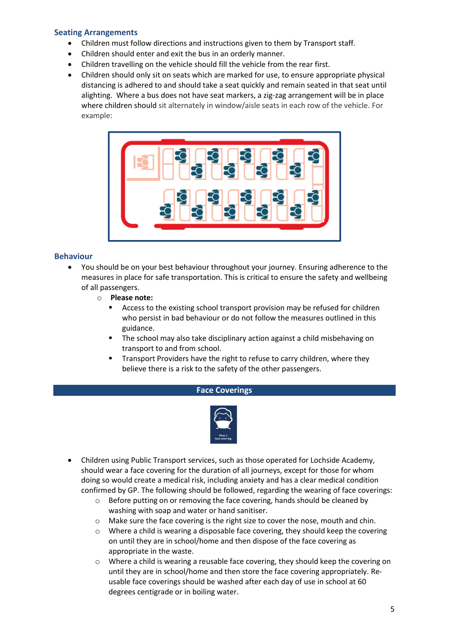## **Seating Arrangements**

- Children must follow directions and instructions given to them by Transport staff.
- Children should enter and exit the bus in an orderly manner.
- Children travelling on the vehicle should fill the vehicle from the rear first.
- Children should only sit on seats which are marked for use, to ensure appropriate physical distancing is adhered to and should take a seat quickly and remain seated in that seat until alighting. Where a bus does not have seat markers, a zig-zag arrangement will be in place where children should sit alternately in window/aisle seats in each row of the vehicle. For example:



#### **Behaviour**

- You should be on your best behaviour throughout your journey. Ensuring adherence to the measures in place for safe transportation. This is critical to ensure the safety and wellbeing of all passengers.
	- o **Please note:** 
		- Access to the existing school transport provision may be refused for children who persist in bad behaviour or do not follow the measures outlined in this guidance.
		- The school may also take disciplinary action against a child misbehaving on transport to and from school.
		- Transport Providers have the right to refuse to carry children, where they believe there is a risk to the safety of the other passengers.

#### **Face Coverings**



- Children using Public Transport services, such as those operated for Lochside Academy, should wear a face covering for the duration of all journeys, except for those for whom doing so would create a medical risk, including anxiety and has a clear medical condition confirmed by GP. The following should be followed, regarding the wearing of face coverings:
	- o Before putting on or removing the face covering, hands should be cleaned by washing with soap and water or hand sanitiser.
	- o Make sure the face covering is the right size to cover the nose, mouth and chin.
	- $\circ$  Where a child is wearing a disposable face covering, they should keep the covering on until they are in school/home and then dispose of the face covering as appropriate in the waste.
	- o Where a child is wearing a reusable face covering, they should keep the covering on until they are in school/home and then store the face covering appropriately. Reusable face coverings should be washed after each day of use in school at 60 degrees centigrade or in boiling water.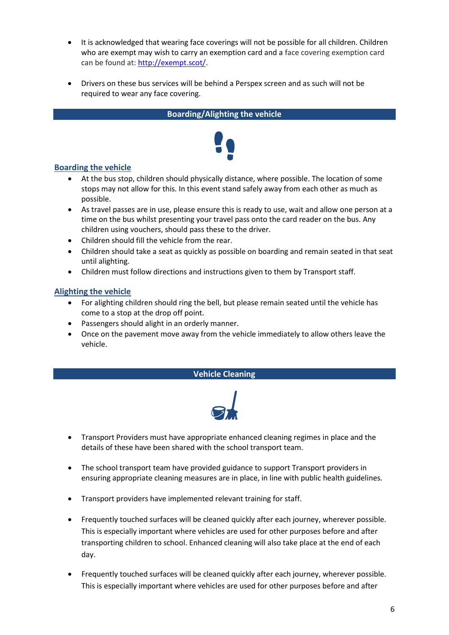- It is acknowledged that wearing face coverings will not be possible for all children. Children who are exempt may wish to carry an exemption card and a face covering exemption card can be found at: [http://exempt.scot/.](http://exempt.scot/)
- Drivers on these bus services will be behind a Perspex screen and as such will not be required to wear any face covering.

**Boarding/Alighting the vehicle**

# **Boarding the vehicle**

- At the bus stop, children should physically distance, where possible. The location of some stops may not allow for this. In this event stand safely away from each other as much as possible.
- As travel passes are in use, please ensure this is ready to use, wait and allow one person at a time on the bus whilst presenting your travel pass onto the card reader on the bus. Any children using vouchers, should pass these to the driver.
- Children should fill the vehicle from the rear.
- Children should take a seat as quickly as possible on boarding and remain seated in that seat until alighting.
- Children must follow directions and instructions given to them by Transport staff.

# **Alighting the vehicle**

- For alighting children should ring the bell, but please remain seated until the vehicle has come to a stop at the drop off point.
- Passengers should alight in an orderly manner.
- Once on the pavement move away from the vehicle immediately to allow others leave the vehicle.

# **Vehicle Cleaning**



- Transport Providers must have appropriate enhanced cleaning regimes in place and the details of these have been shared with the school transport team.
- The school transport team have provided guidance to support Transport providers in ensuring appropriate cleaning measures are in place, in line with public health guidelines.
- Transport providers have implemented relevant training for staff.
- Frequently touched surfaces will be cleaned quickly after each journey, wherever possible. This is especially important where vehicles are used for other purposes before and after transporting children to school. Enhanced cleaning will also take place at the end of each day.
- Frequently touched surfaces will be cleaned quickly after each journey, wherever possible. This is especially important where vehicles are used for other purposes before and after